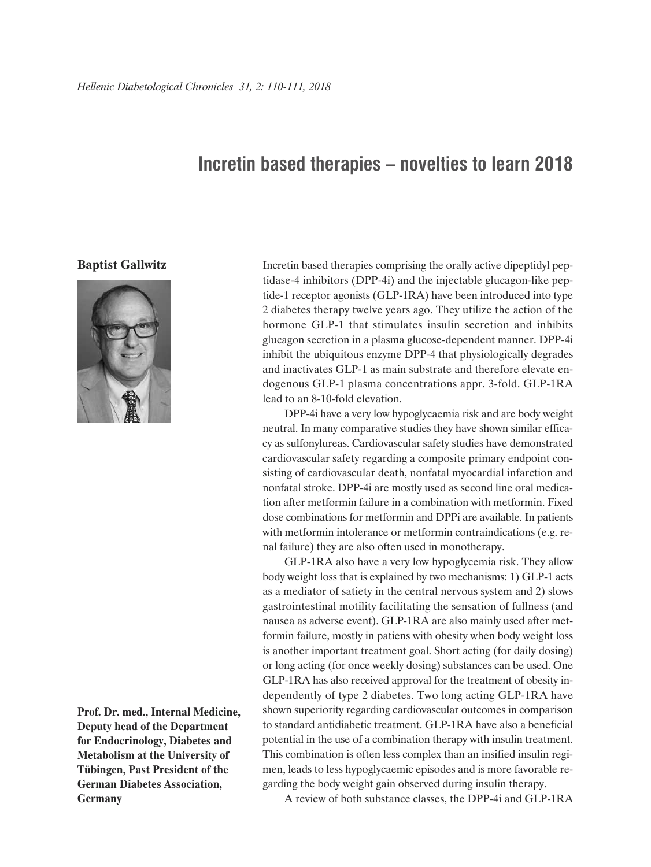## **Incretin based therapies – novelties to learn 2018**

## **Baptist Gallwitz**



**Prof. Dr. med., Internal Medicine, Deputy head of the Department for Endocrinology, Diabetes and Metabolism at the University of Tübingen, Past President of the German Diabetes Association, Germany**

Incretin based therapies comprising the orally active dipeptidyl peptidase-4 inhibitors (DPP-4i) and the injectable glucagon-like peptide-1 receptor agonists (GLP-1RA) have been introduced into type 2 diabetes therapy twelve years ago. They utilize the action of the hormone GLP-1 that stimulates insulin secretion and inhibits glucagon secretion in a plasma glucose-dependent manner. DPP-4i inhibit the ubiquitous enzyme DPP-4 that physiologically degrades and inactivates GLP-1 as main substrate and therefore elevate endogenous GLP-1 plasma concentrations appr. 3-fold. GLP-1RA lead to an 8-10-fold elevation.

DPP-4i have a very low hypoglycaemia risk and are body weight neutral. In many comparative studies they have shown similar efficacy as sulfonylureas. Cardiovascular safety studies have demonstrated cardiovascular safety regarding a composite primary endpoint consisting of cardiovascular death, nonfatal myocardial infarction and nonfatal stroke. DPP-4i are mostly used as second line oral medication after metformin failure in a combination with metformin. Fixed dose combinations for metformin and DPPi are available. In patients with metformin intolerance or metformin contraindications (e.g. renal failure) they are also often used in monotherapy.

GLP-1RA also have a very low hypoglycemia risk. They allow body weight loss that is explained by two mechanisms: 1) GLP-1 acts as a mediator of satiety in the central nervous system and 2) slows gastrointestinal motility facilitating the sensation of fullness (and nausea as adverse event). GLP-1RA are also mainly used after metformin failure, mostly in patiens with obesity when body weight loss is another important treatment goal. Short acting (for daily dosing) or long acting (for once weekly dosing) substances can be used. One GLP-1RA has also received approval for the treatment of obesity independently of type 2 diabetes. Two long acting GLP-1RA have shown superiority regarding cardiovascular outcomes in comparison to standard antidiabetic treatment. GLP-1RA have also a beneficial potential in the use of a combination therapy with insulin treatment. This combination is often less complex than an insified insulin regimen, leads to less hypoglycaemic episodes and is more favorable regarding the body weight gain observed during insulin therapy.

A review of both substance classes, the DPP-4i and GLP-1RA